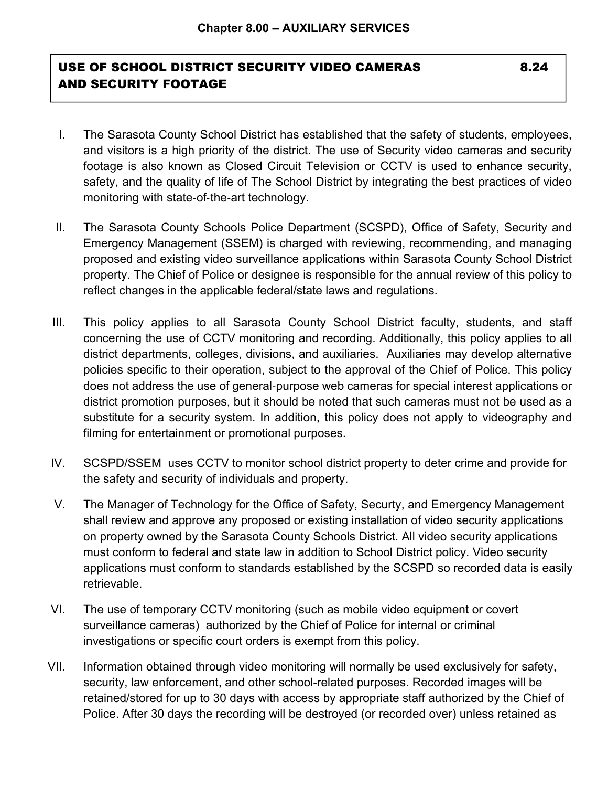## USE OF SCHOOL DISTRICT SECURITY VIDEO CAMERAS 6.24 AND SECURITY FOOTAGE

- I. The Sarasota County School District has established that the safety of students, employees, and visitors is a high priority of the district. The use of Security video cameras and security footage is also known as Closed Circuit Television or CCTV is used to enhance security, safety, and the quality of life of The School District by integrating the best practices of video monitoring with state-of-the-art technology.
- II. The Sarasota County Schools Police Department (SCSPD), Office of Safety, Security and Emergency Management (SSEM) is charged with reviewing, recommending, and managing proposed and existing video surveillance applications within Sarasota County School District property. The Chief of Police or designee is responsible for the annual review of this policy to reflect changes in the applicable federal/state laws and regulations.
- III. This policy applies to all Sarasota County School District faculty, students, and staff concerning the use of CCTV monitoring and recording. Additionally, this policy applies to all district departments, colleges, divisions, and auxiliaries. Auxiliaries may develop alternative policies specific to their operation, subject to the approval of the Chief of Police. This policy does not address the use of general-purpose web cameras for special interest applications or district promotion purposes, but it should be noted that such cameras must not be used as a substitute for a security system. In addition, this policy does not apply to videography and filming for entertainment or promotional purposes.
- IV. SCSPD/SSEM uses CCTV to monitor school district property to deter crime and provide for the safety and security of individuals and property.
- V. The Manager of Technology for the Office of Safety, Securty, and Emergency Management shall review and approve any proposed or existing installation of video security applications on property owned by the Sarasota County Schools District. All video security applications must conform to federal and state law in addition to School District policy. Video security applications must conform to standards established by the SCSPD so recorded data is easily retrievable.
- VI. The use of temporary CCTV monitoring (such as mobile video equipment or covert surveillance cameras) authorized by the Chief of Police for internal or criminal investigations or specific court orders is exempt from this policy.
- VII. Information obtained through video monitoring will normally be used exclusively for safety, security, law enforcement, and other school-related purposes. Recorded images will be retained/stored for up to 30 days with access by appropriate staff authorized by the Chief of Police. After 30 days the recording will be destroyed (or recorded over) unless retained as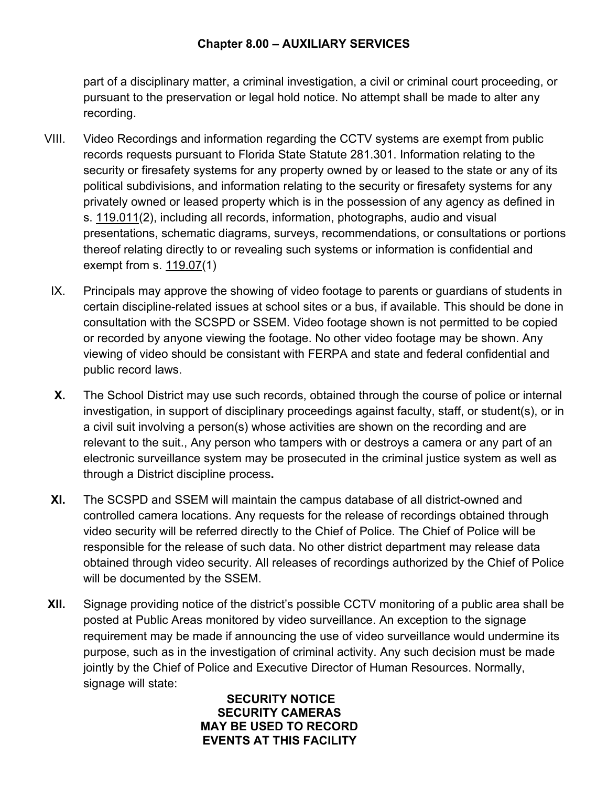## **Chapter 8.00 – AUXILIARY SERVICES**

part of a disciplinary matter, a criminal investigation, a civil or criminal court proceeding, or pursuant to the preservation or legal hold notice. No attempt shall be made to alter any recording.

- VIII. Video Recordings and information regarding the CCTV systems are exempt from public records requests pursuant to Florida State Statute 281.301. Information relating to the security or firesafety systems for any property owned by or leased to the state or any of its political subdivisions, and information relating to the security or firesafety systems for any privately owned or leased property which is in the possession of any agency as defined in s. 119.011(2), including all records, information, photographs, audio and visual presentations, schematic diagrams, surveys, recommendations, or consultations or portions thereof relating directly to or revealing such systems or information is confidential and exempt from s.  $119.07(1)$ 
	- IX. Principals may approve the showing of video footage to parents or guardians of students in certain discipline-related issues at school sites or a bus, if available. This should be done in consultation with the SCSPD or SSEM. Video footage shown is not permitted to be copied or recorded by anyone viewing the footage. No other video footage may be shown. Any viewing of video should be consistant with FERPA and state and federal confidential and public record laws.
	- **X.** The School District may use such records, obtained through the course of police or internal investigation, in support of disciplinary proceedings against faculty, staff, or student(s), or in a civil suit involving a person(s) whose activities are shown on the recording and are relevant to the suit., Any person who tampers with or destroys a camera or any part of an electronic surveillance system may be prosecuted in the criminal justice system as well as through a District discipline process**.**
- **XI.** The SCSPD and SSEM will maintain the campus database of all district-owned and controlled camera locations. Any requests for the release of recordings obtained through video security will be referred directly to the Chief of Police. The Chief of Police will be responsible for the release of such data. No other district department may release data obtained through video security. All releases of recordings authorized by the Chief of Police will be documented by the SSEM.
- **XII.** Signage providing notice of the district's possible CCTV monitoring of a public area shall be posted at Public Areas monitored by video surveillance. An exception to the signage requirement may be made if announcing the use of video surveillance would undermine its purpose, such as in the investigation of criminal activity. Any such decision must be made jointly by the Chief of Police and Executive Director of Human Resources. Normally, signage will state:

## **SECURITY NOTICE SECURITY CAMERAS MAY BE USED TO RECORD EVENTS AT THIS FACILITY**